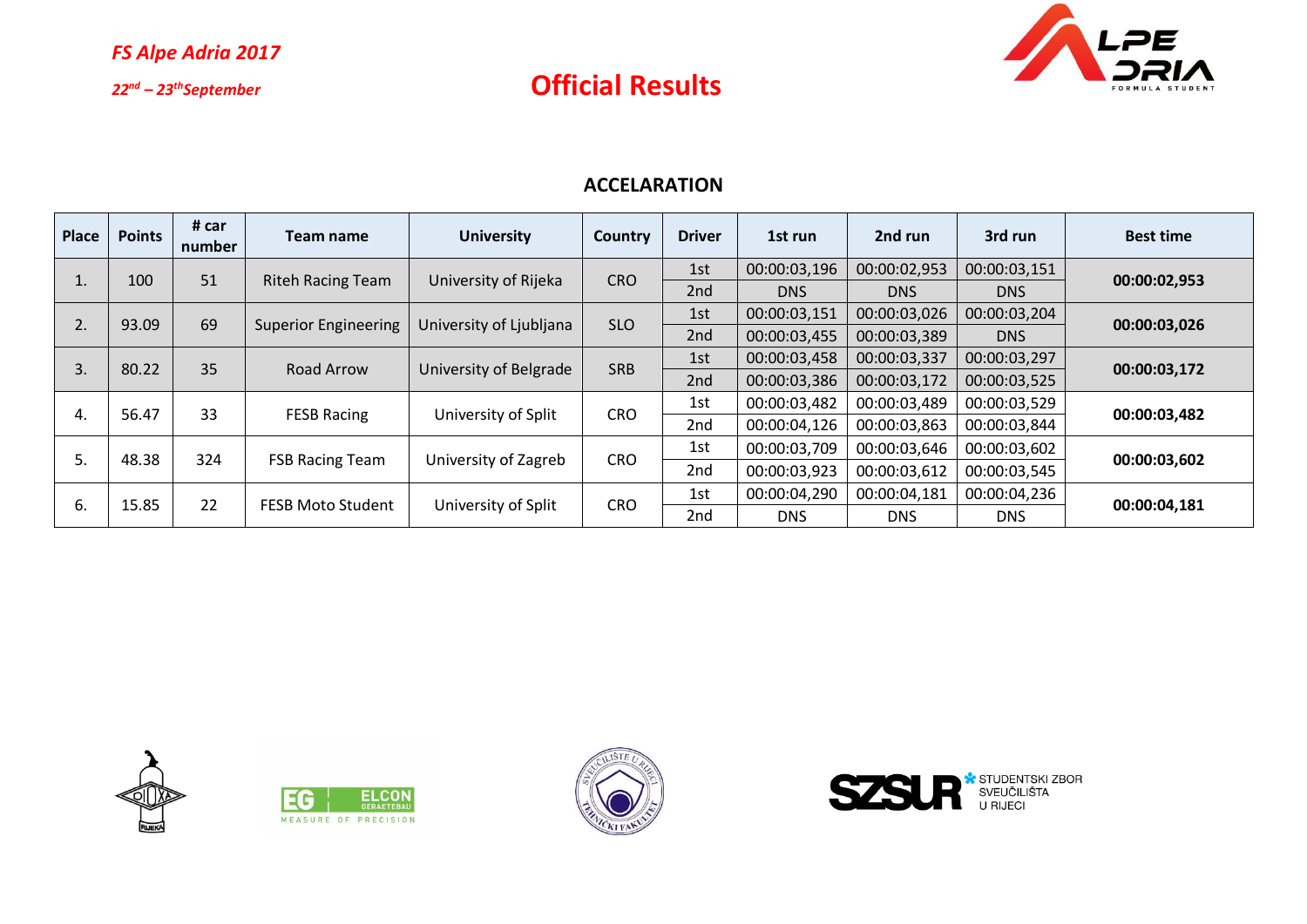

#### **ACCELARATION**

| Place | <b>Points</b> | # car<br>number | Team name                   | <b>University</b>       | Country    | <b>Driver</b>   | 1st run      | 2nd run      | 3rd run      | <b>Best time</b> |  |
|-------|---------------|-----------------|-----------------------------|-------------------------|------------|-----------------|--------------|--------------|--------------|------------------|--|
|       | 100           | 51              |                             | University of Rijeka    | <b>CRO</b> | 1st             | 00:00:03,196 | 00:00:02,953 | 00:00:03,151 | 00:00:02,953     |  |
|       |               |                 | <b>Riteh Racing Team</b>    |                         |            | 2nd             | <b>DNS</b>   | <b>DNS</b>   | <b>DNS</b>   |                  |  |
| 2.    | 93.09         | 69              | <b>Superior Engineering</b> | University of Ljubljana | <b>SLO</b> | 1st             | 00:00:03,151 | 00:00:03,026 | 00:00:03,204 | 00:00:03,026     |  |
|       |               |                 |                             |                         |            | 2nd             | 00:00:03,455 | 00:00:03,389 | <b>DNS</b>   |                  |  |
|       | 80.22         | 35              | Road Arrow                  | University of Belgrade  | <b>SRB</b> | 1st             | 00:00:03,458 | 00:00:03,337 | 00:00:03,297 | 00:00:03,172     |  |
| 3.    |               |                 |                             |                         |            | 2nd             | 00:00:03,386 | 00:00:03,172 | 00:00:03,525 |                  |  |
|       |               | 33              | <b>FESB Racing</b>          | University of Split     | <b>CRO</b> | 1st             | 00:00:03,482 | 00:00:03,489 | 00:00:03,529 | 00:00:03,482     |  |
| 4.    | 56.47         |                 |                             |                         |            | 2 <sub>nd</sub> | 00:00:04,126 | 00:00:03,863 | 00:00:03,844 |                  |  |
|       |               | 324<br>48.38    | <b>FSB Racing Team</b>      | University of Zagreb    | <b>CRO</b> | 1st             | 00:00:03,709 | 00:00:03,646 | 00:00:03,602 | 00:00:03,602     |  |
| 5.    |               |                 |                             |                         |            | 2 <sub>nd</sub> | 00:00:03,923 | 00:00:03,612 | 00:00:03,545 |                  |  |
|       | 15.85         | 22              | <b>FESB Moto Student</b>    | University of Split     | <b>CRO</b> | 1st             | 00:00:04,290 | 00:00:04,181 | 00:00:04,236 |                  |  |
| 6.    |               |                 |                             |                         |            | 2 <sub>nd</sub> | <b>DNS</b>   | <b>DNS</b>   | DNS.         | 00:00:04,181     |  |







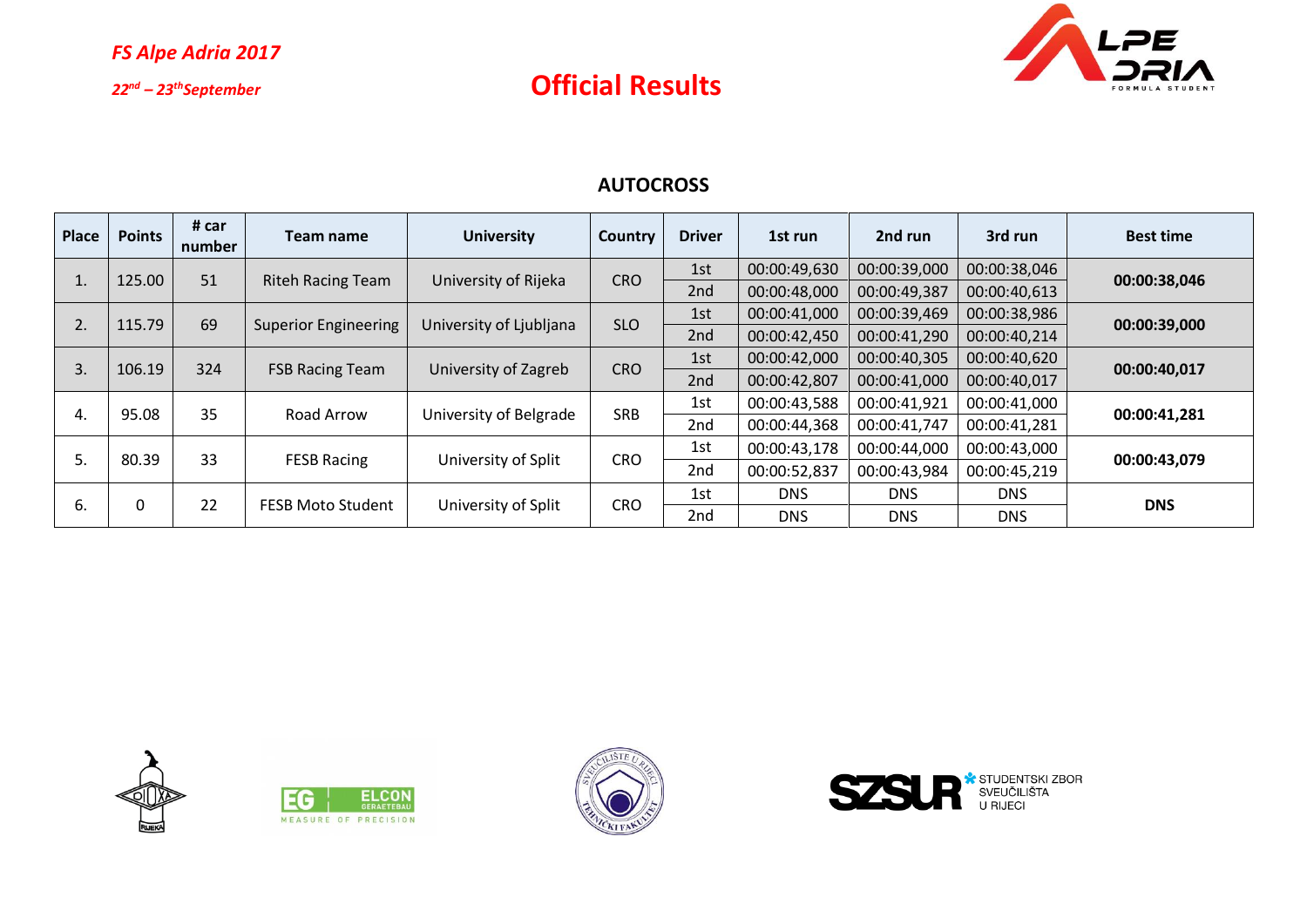

### **AUTOCROSS**

| Place    | <b>Points</b> | # car<br>number | Team name                   | <b>University</b>       | Country    | <b>Driver</b> | 1st run      | 2nd run      | 3rd run      | <b>Best time</b> |  |
|----------|---------------|-----------------|-----------------------------|-------------------------|------------|---------------|--------------|--------------|--------------|------------------|--|
|          | 125.00        | 51              | <b>Riteh Racing Team</b>    | University of Rijeka    | <b>CRO</b> | 1st           | 00:00:49,630 | 00:00:39,000 | 00:00:38,046 | 00:00:38,046     |  |
|          |               |                 |                             |                         |            | 2nd           | 00:00:48,000 | 00:00:49,387 | 00:00:40,613 |                  |  |
|          | 115.79        | 69              | <b>Superior Engineering</b> | University of Ljubljana | <b>SLO</b> | 1st           | 00:00:41,000 | 00:00:39,469 | 00:00:38,986 |                  |  |
|          |               |                 |                             |                         |            | 2nd           | 00:00:42,450 | 00:00:41,290 | 00:00:40,214 | 00:00:39,000     |  |
|          |               |                 | <b>FSB Racing Team</b>      | University of Zagreb    | <b>CRO</b> | 1st           | 00:00:42,000 | 00:00:40,305 | 00:00:40,620 |                  |  |
| 3.       | 106.19        | 324             |                             |                         |            | 2nd           | 00:00:42,807 | 00:00:41,000 | 00:00:40,017 | 00:00:40,017     |  |
|          |               | 35              | Road Arrow                  | University of Belgrade  | <b>SRB</b> | 1st           | 00:00:43,588 | 00:00:41,921 | 00:00:41,000 | 00:00:41,281     |  |
|          | 95.08<br>4.   |                 |                             |                         |            | 2nd           | 00:00:44,368 | 00:00:41,747 | 00:00:41,281 |                  |  |
|          | 80.39         | 33              | <b>FESB Racing</b>          | University of Split     | <b>CRO</b> | 1st           | 00:00:43,178 | 00:00:44,000 | 00:00:43,000 | 00:00:43,079     |  |
| 5.       |               |                 |                             |                         |            | 2nd           | 00:00:52,837 | 00:00:43,984 | 00:00:45,219 |                  |  |
|          |               | 22              | <b>FESB Moto Student</b>    | University of Split     | <b>CRO</b> | 1st           | <b>DNS</b>   | <b>DNS</b>   | <b>DNS</b>   |                  |  |
| 0<br>-6. |               |                 |                             |                         |            | 2nd           | <b>DNS</b>   | <b>DNS</b>   | <b>DNS</b>   | <b>DNS</b>       |  |







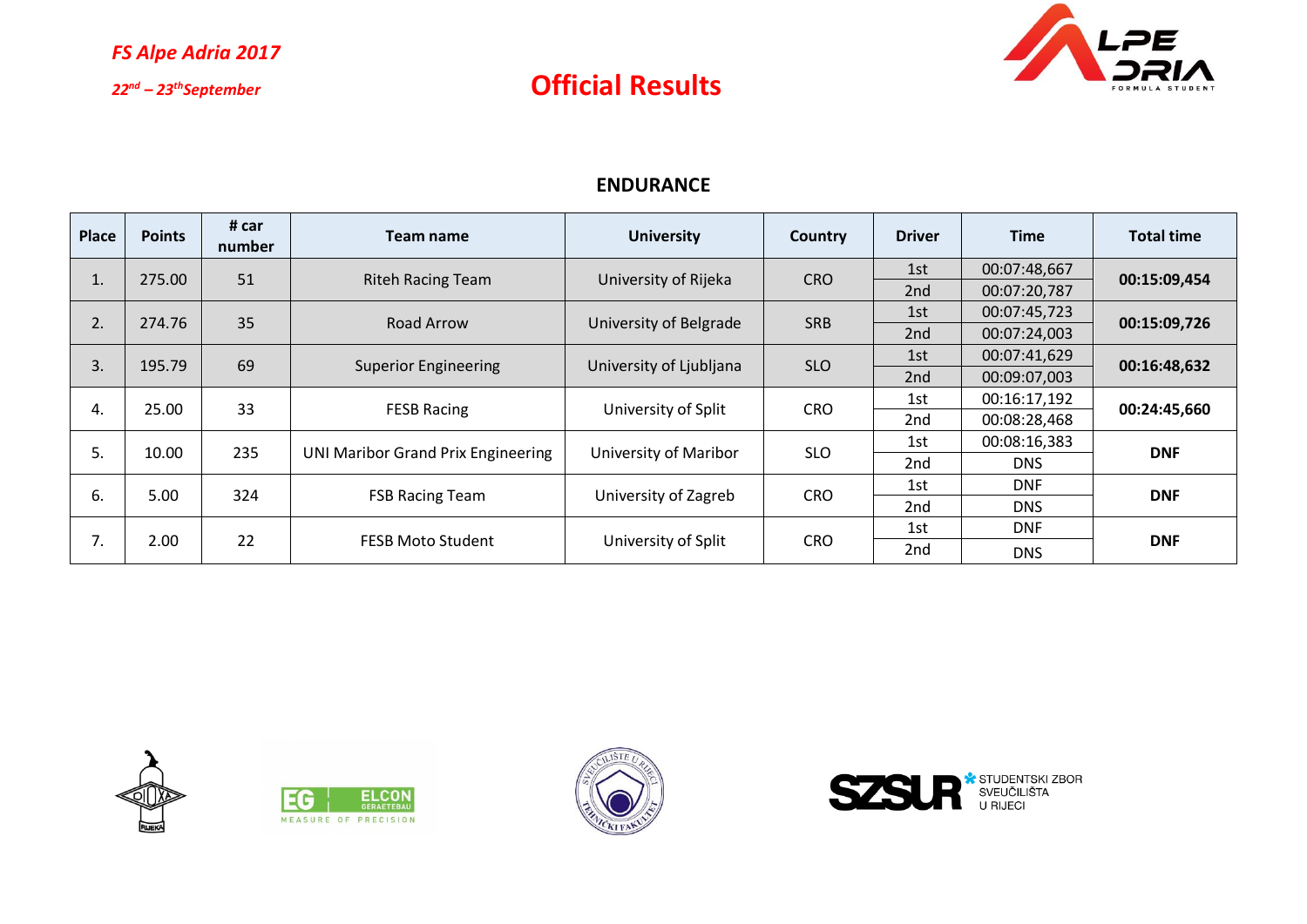

### **ENDURANCE**

| <b>Place</b> | <b>Points</b> | # car<br>number | Team name                                 | <b>University</b>       | <b>Country</b> | <b>Driver</b>   | <b>Time</b>  | <b>Total time</b> |  |
|--------------|---------------|-----------------|-------------------------------------------|-------------------------|----------------|-----------------|--------------|-------------------|--|
|              | 275.00        | 51              | <b>Riteh Racing Team</b>                  | University of Rijeka    | <b>CRO</b>     | 1st             | 00:07:48,667 | 00:15:09,454      |  |
| T.           |               |                 |                                           |                         |                | 2nd             | 00:07:20,787 |                   |  |
| 2.           | 35<br>274.76  |                 | Road Arrow                                |                         | <b>SRB</b>     | 1st             | 00:07:45,723 | 00:15:09,726      |  |
|              |               |                 |                                           | University of Belgrade  |                | 2nd             | 00:07:24,003 |                   |  |
| 3.           | 195.79        | 69              | <b>Superior Engineering</b>               | University of Ljubljana | <b>SLO</b>     | 1st             | 00:07:41,629 | 00:16:48,632      |  |
|              |               |                 |                                           |                         |                | 2 <sub>nd</sub> | 00:09:07,003 |                   |  |
| 4.           | 25.00         | 33              | <b>FESB Racing</b>                        | University of Split     | <b>CRO</b>     | 1st             | 00:16:17,192 | 00:24:45,660      |  |
|              |               |                 |                                           |                         |                | 2 <sub>nd</sub> | 00:08:28,468 |                   |  |
| 5.           | 10.00         | 235             | <b>UNI Maribor Grand Prix Engineering</b> | University of Maribor   | <b>SLO</b>     | 1st             | 00:08:16,383 | <b>DNF</b>        |  |
|              |               |                 |                                           |                         |                | 2 <sub>nd</sub> | <b>DNS</b>   |                   |  |
|              | 6.<br>5.00    | 324             | <b>FSB Racing Team</b>                    | University of Zagreb    | <b>CRO</b>     | 1st             | <b>DNF</b>   | <b>DNF</b>        |  |
|              |               |                 |                                           |                         |                | 2 <sub>nd</sub> | <b>DNS</b>   |                   |  |
|              |               |                 | <b>FESB Moto Student</b>                  |                         |                | 1st             | <b>DNF</b>   | <b>DNF</b>        |  |
| 7.           | 2.00          | 22              |                                           | University of Split     | <b>CRO</b>     | 2 <sub>nd</sub> | <b>DNS</b>   |                   |  |